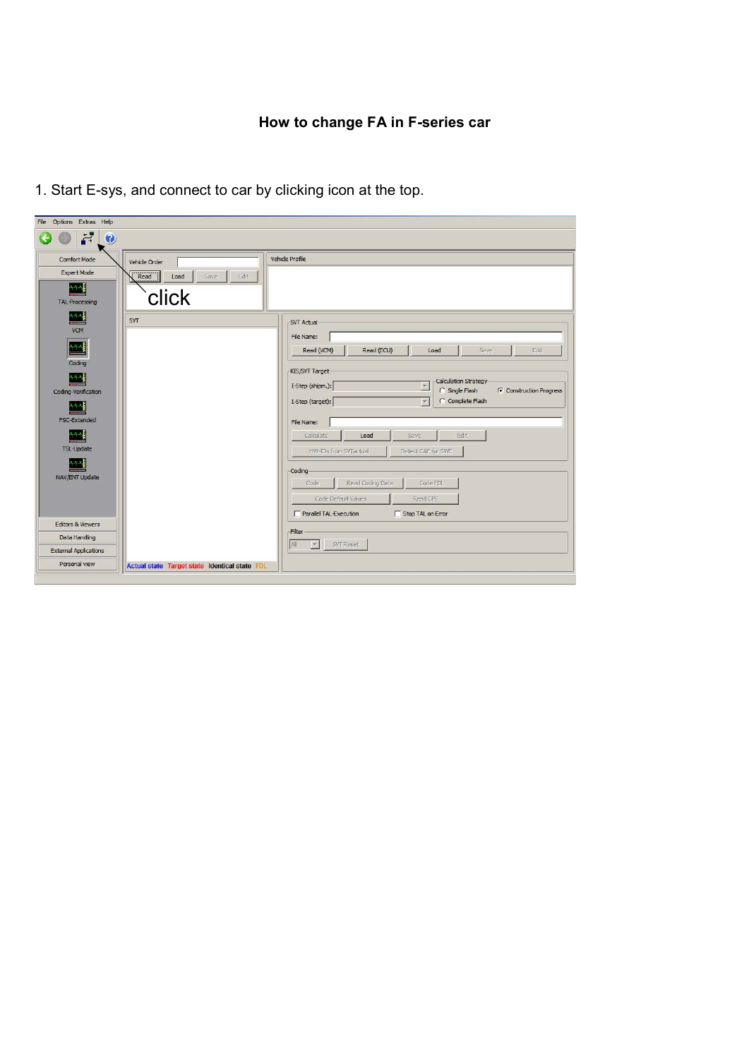| File Options Extras Help     |                                               |                                                                                            |
|------------------------------|-----------------------------------------------|--------------------------------------------------------------------------------------------|
| 븉<br>$\bullet$               |                                               |                                                                                            |
| Comfort Mode                 | Vehide Order                                  | Vehicle Profile                                                                            |
| <b>Expert Mode</b>           | Read<br>Edit<br>Load<br>Save                  |                                                                                            |
|                              |                                               |                                                                                            |
| <b>TAL-Processing</b>        | click                                         |                                                                                            |
| 쌕                            | SVT                                           | -SVT Actual                                                                                |
| <b>VCM</b>                   |                                               | File Name:                                                                                 |
| 444                          |                                               | Read (VCM)<br>Edit<br>Read (ECU)<br>Load<br>Save                                           |
| Coding                       |                                               |                                                                                            |
|                              |                                               | KIS/SVT Target                                                                             |
| Coding-Verification          |                                               | Calculation Strategy<br>I-Step (shipm.):<br>ly.<br>C Single Flash<br>Construction Progress |
|                              |                                               | C Complete Flash<br>I-Step (target):<br>$\mathbf{v}$                                       |
| FSC-Extended                 |                                               | File Name:                                                                                 |
|                              |                                               | Edit<br>Calculate<br>Load<br>Save                                                          |
| TSL-Update                   |                                               |                                                                                            |
|                              |                                               | HW-IDs from SVTactual<br>Detect CAF for SWE                                                |
| NAV/ENT Update               |                                               | Coding-                                                                                    |
|                              |                                               | Code<br>Read Coding Data<br>Code FDL                                                       |
|                              |                                               | Code Default Values<br>Read CPS                                                            |
|                              |                                               | Parallel TAL-Execution<br>Stop TAL on Error                                                |
| <b>Editors &amp; Viewers</b> |                                               | Filter                                                                                     |
| Data Handling                |                                               | All<br>SVT Reset<br>W.                                                                     |
| <b>External Applications</b> |                                               |                                                                                            |
| Personal view                | Actual state Target state Identical state FDL |                                                                                            |
|                              |                                               |                                                                                            |

1. Start E-sys, and connect to car by clicking icon at the top.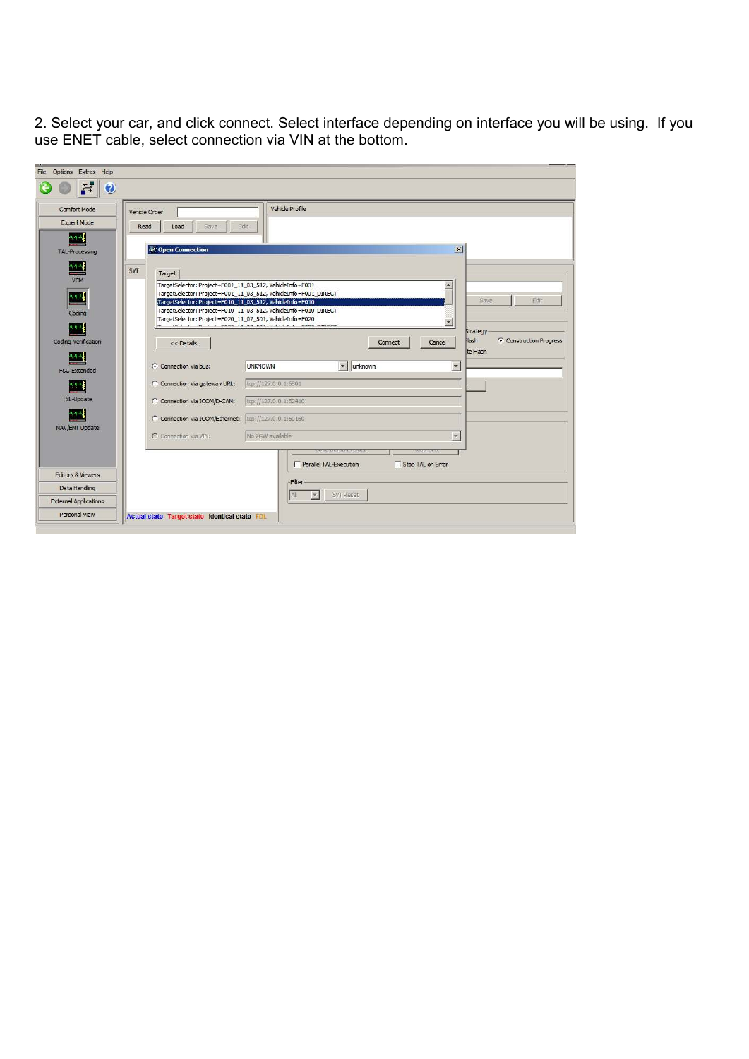2. Select your car, and click connect. Select interface depending on interface you will be using. If you use ENET cable, select connection via VIN at the bottom.

| Comfort Mode                 | Vehicle Profile<br>Vehicle Order                                                                                           |
|------------------------------|----------------------------------------------------------------------------------------------------------------------------|
| <b>Expert Mode</b>           | Read<br>Edit:<br>Save<br>Load                                                                                              |
| <b>TAL-Processing</b>        | $\vert x \vert$<br>Copen Connection                                                                                        |
|                              | SVT                                                                                                                        |
| <b>VCM</b>                   | Target<br>TargetSelector: Project=F001_11_03_512, VehideInfo=F001                                                          |
| mр                           | TargetSelector: Project=F001_11_03_512, VehicleInfo=F001_DIRECT<br>Edit<br>Save                                            |
| Coding                       | TargetSelector: Project=F010_11_03_512, VehideInfo=F010<br>TargetSelector: Project=F010_11_03_512, VehicleInfo=F010_DIRECT |
|                              | TargetSelector: Project=F020_11_07_501, VehideInfo=F020<br>in I i n . I cans is an cas u i i t C cans number               |
| Coding-Verification          | <b>Strategy</b>                                                                                                            |
|                              |                                                                                                                            |
|                              | <b>Hash</b><br>C Construction Progress<br>Cancel<br>Connect<br>$<<$ Details<br>te Flash                                    |
|                              | <b>UNKNOWN</b><br>lunknown<br>$\overline{\phantom{a}}$<br>⊙ Connection via bus:<br>$\overline{\phantom{a}}$                |
| FSC-Extended                 |                                                                                                                            |
|                              | top://127.0.0.1:6801<br>C Connection via gateway URL:                                                                      |
| <b>TSL-Update</b>            | tcp://127.0.0.1:52410<br>C Connection via ICOM/D-CAN:                                                                      |
|                              | C Connection via ICOM/Ethernet: tcp://127.0.0.1:50160                                                                      |
| NAV/ENT Update               | No ZGW available<br>C Connection via VIN:                                                                                  |
|                              | <b>Objective Program</b>                                                                                                   |
|                              | Stop TAL on Error<br>Parallel TAL-Execution                                                                                |
| <b>Editors &amp; Viewers</b> |                                                                                                                            |
| Data Handling                | Filter<br>All<br>SVT Reset                                                                                                 |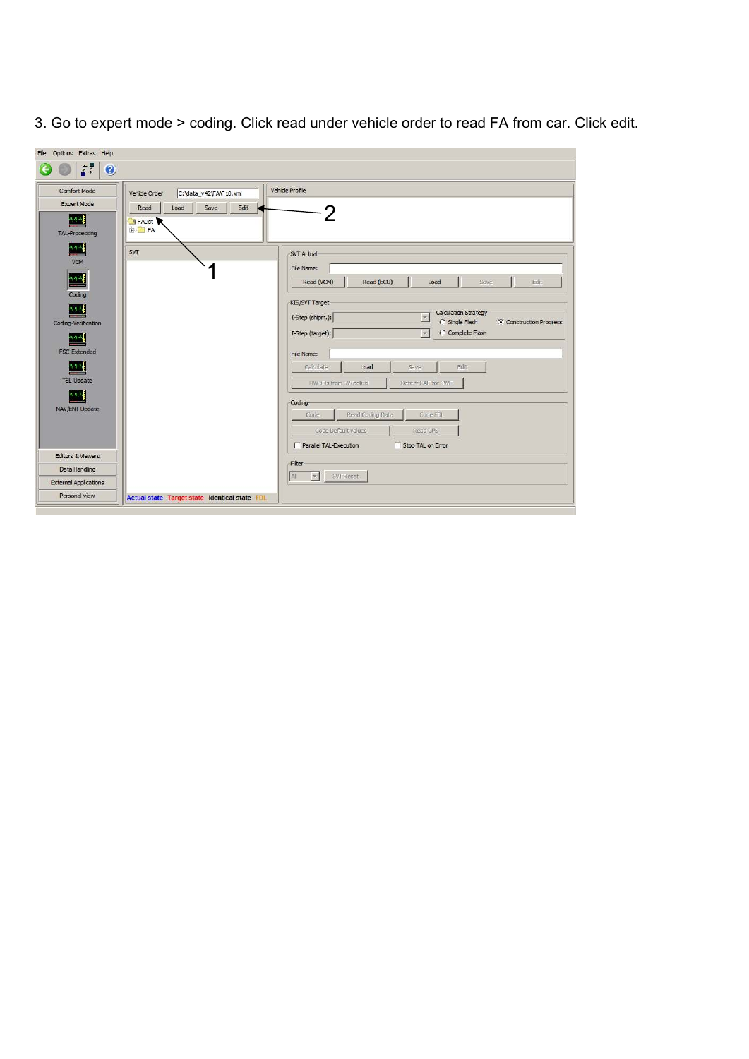| File Options Extras Help                                                    |                                                                         |                                                                                                            |
|-----------------------------------------------------------------------------|-------------------------------------------------------------------------|------------------------------------------------------------------------------------------------------------|
| 븉<br>$\bullet$                                                              |                                                                         |                                                                                                            |
| Comfort Mode<br>Expert Mode                                                 | C:\data_v42\FA\F10.xml<br>Vehicle Order<br>Load<br>Save<br>Edit<br>Read | Vehicle Profile                                                                                            |
| 外观周<br><b>TAL-Processing</b>                                                | <b>S</b> FAList<br><b>E</b>                                             | 2                                                                                                          |
| $\left  \begin{array}{cc} 1 & 0 \\ 0 & 0 \end{array} \right $<br><b>VCM</b> | SVT                                                                     | -SVT Actual                                                                                                |
| 化气气<br>Coding                                                               |                                                                         | File Name:<br>Read (VCM)<br>Read (ECU)<br>Edit<br>Load<br>Save                                             |
| Coding-Verification                                                         |                                                                         | KIS/SVT Target<br>Calculation Strategy<br>I-Step (shipm.):<br>Y<br>C Single Flash<br>Construction Progress |
| FSC-Extended                                                                |                                                                         | C Complete Flash<br>I-Step (target):<br>l.<br>File Name:                                                   |
| <b>TSL-Update</b>                                                           |                                                                         | Edit<br>Calculate<br>Load<br>Save<br>HW-IDs from SVTactual<br>Detect CAF for SWE                           |
| NAV/ENT Update                                                              |                                                                         | Coding<br>Code<br>Read Coding Data<br>Code FDL                                                             |
|                                                                             |                                                                         | Code Default Values<br>Read CPS<br>Parallel TAL-Execution<br>Stop TAL on Error                             |
| <b>Editors &amp; Viewers</b>                                                |                                                                         | Filter                                                                                                     |
| Data Handling                                                               |                                                                         | <b>All</b><br>SVT Reset<br>$\mathcal{P}_\mathrm{c}$                                                        |
| <b>External Applications</b>                                                |                                                                         |                                                                                                            |
| Personal view                                                               | Actual state Target state Identical state FDL                           |                                                                                                            |
|                                                                             |                                                                         |                                                                                                            |

3. Go to expert mode > coding. Click read under vehicle order to read FA from car. Click edit.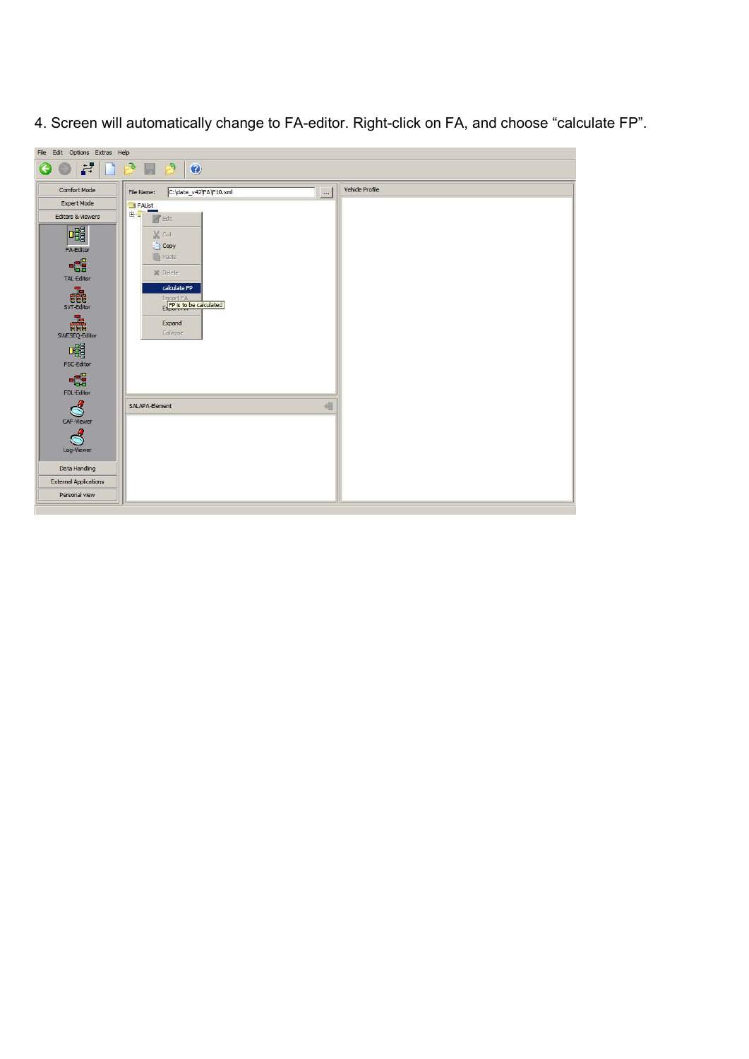4. Screen will automatically change to FA-editor. Right-click on FA, and choose "calculate FP".

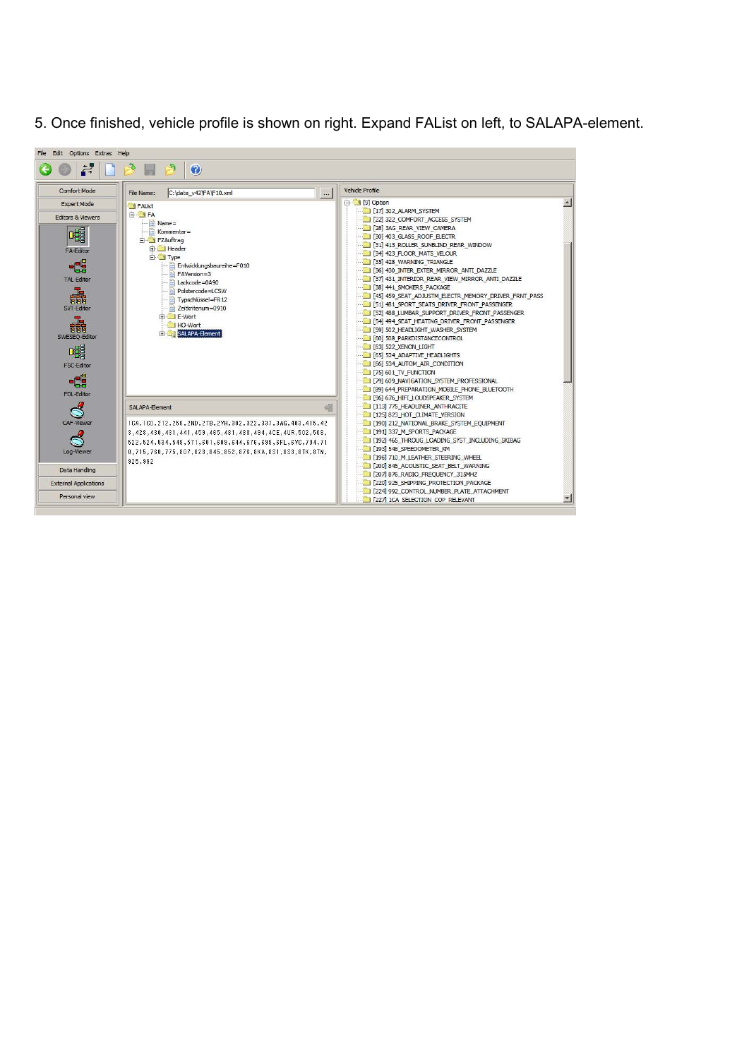5. Once finished, vehicle profile is shown on right. Expand FAList on left, to SALAPA-element.

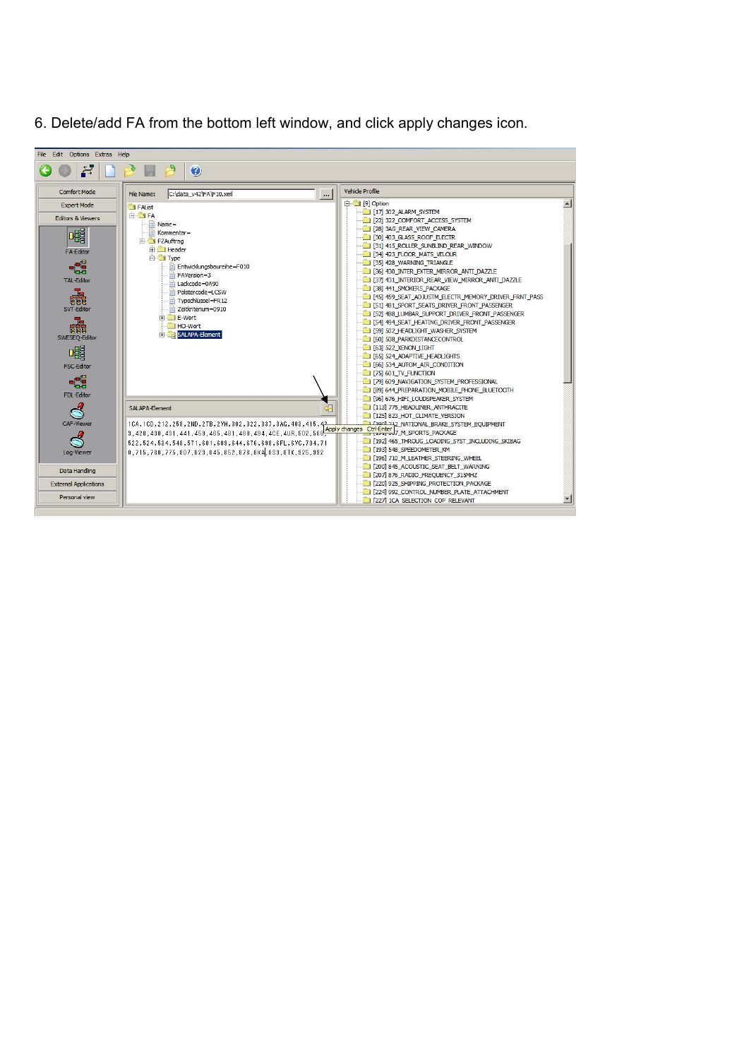6. Delete/add FA from the bottom left window, and click apply changes icon.

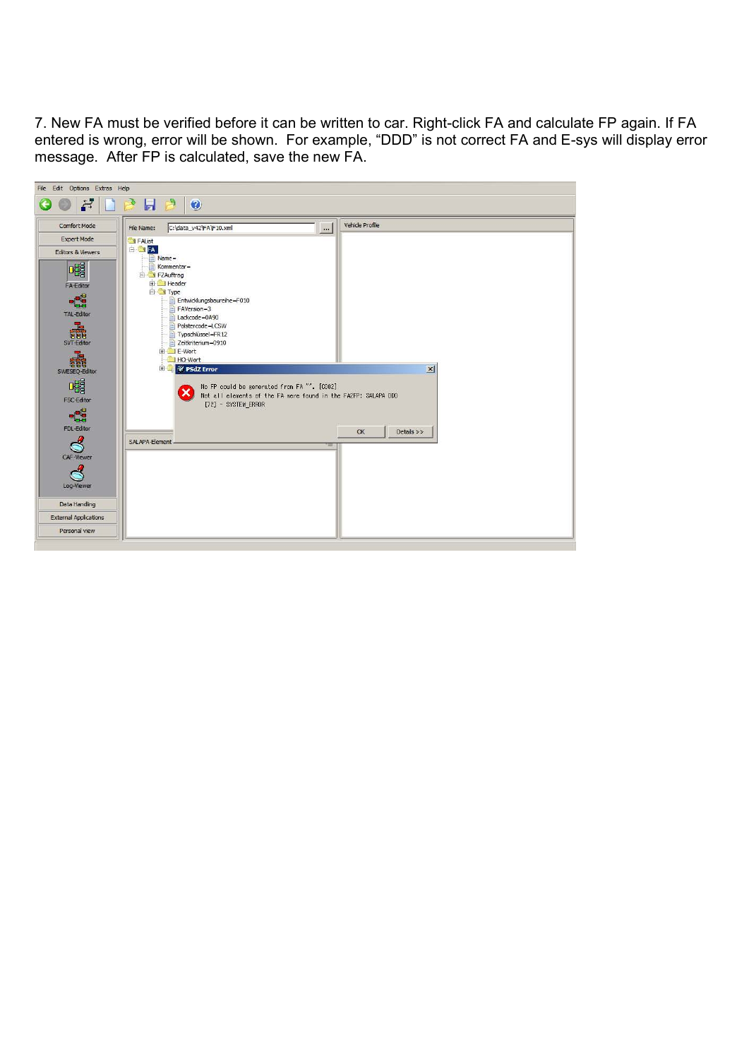7. New FA must be verified before it can be written to car. Right-click FA and calculate FP again. If FA entered is wrong, error will be shown. For example, "DDD" is not correct FA and E-sys will display error message. After FP is calculated, save the new FA.

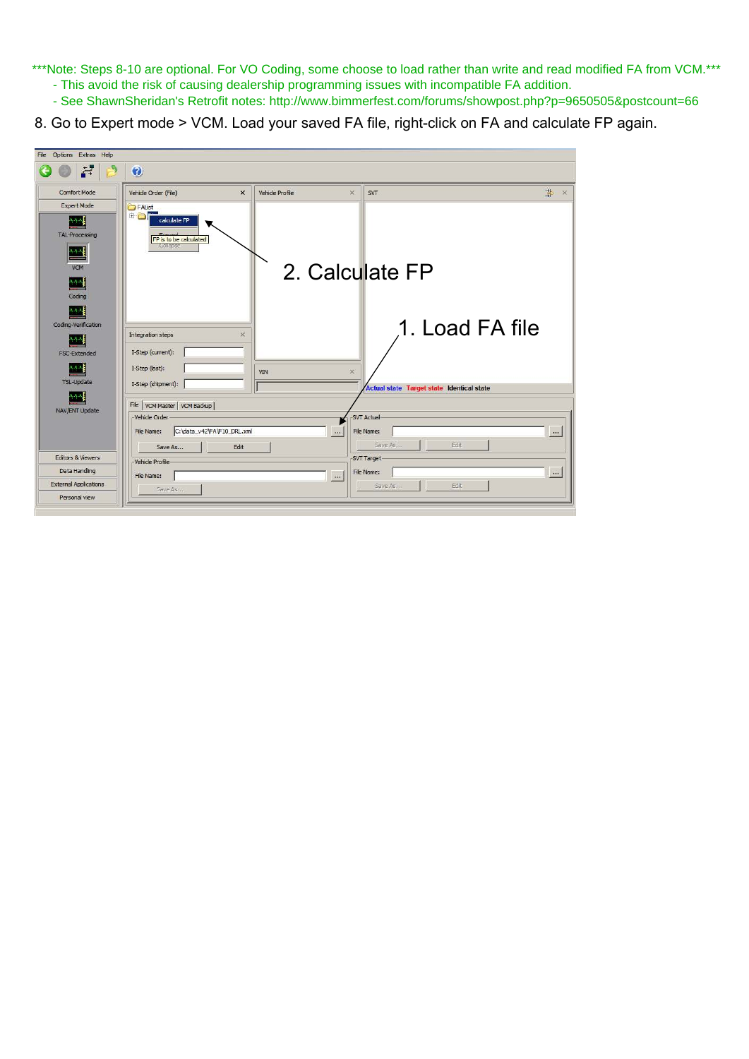\*\*\*Note: Steps 8-10 are optional. For VO Coding, some choose to load rather than write and read modified FA from VCM.\*\*\* - This avoid the risk of causing dealership programming issues with incompatible FA addition.

- See ShawnSheridan's Retrofit notes: http://www.bimmerfest.com/forums/showpost.php?p=9650505&postcount=66
- 8. Go to Expert mode > VCM. Load your saved FA file, right-click on FA and calculate FP again.